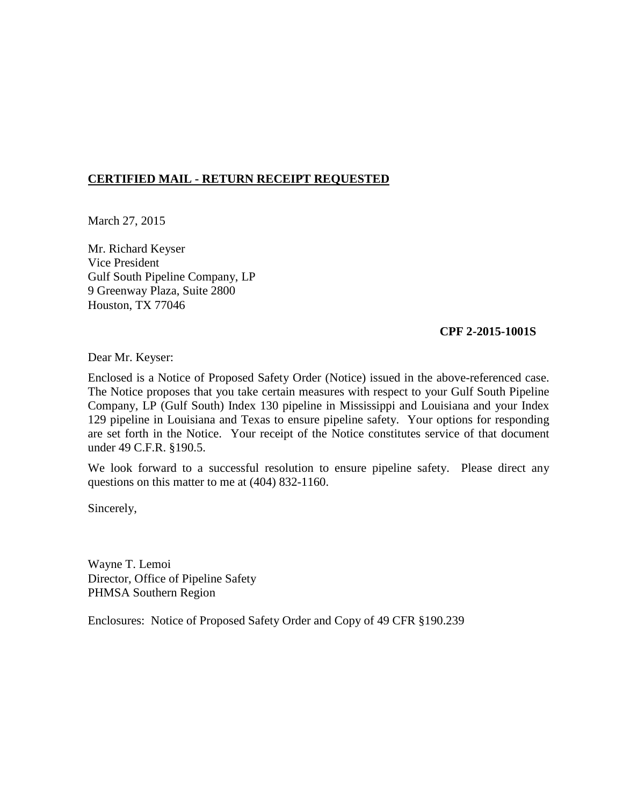# **CERTIFIED MAIL - RETURN RECEIPT REQUESTED**

March 27, 2015

Mr. Richard Keyser Vice President Gulf South Pipeline Company, LP 9 Greenway Plaza, Suite 2800 Houston, TX 77046

### **CPF 2-2015-1001S**

Dear Mr. Keyser:

Enclosed is a Notice of Proposed Safety Order (Notice) issued in the above-referenced case. The Notice proposes that you take certain measures with respect to your Gulf South Pipeline Company, LP (Gulf South) Index 130 pipeline in Mississippi and Louisiana and your Index 129 pipeline in Louisiana and Texas to ensure pipeline safety. Your options for responding are set forth in the Notice. Your receipt of the Notice constitutes service of that document under 49 C.F.R. §190.5.

We look forward to a successful resolution to ensure pipeline safety. Please direct any questions on this matter to me at (404) 832-1160.

Sincerely,

Wayne T. Lemoi Director, Office of Pipeline Safety PHMSA Southern Region

Enclosures: Notice of Proposed Safety Order and Copy of 49 CFR §190.239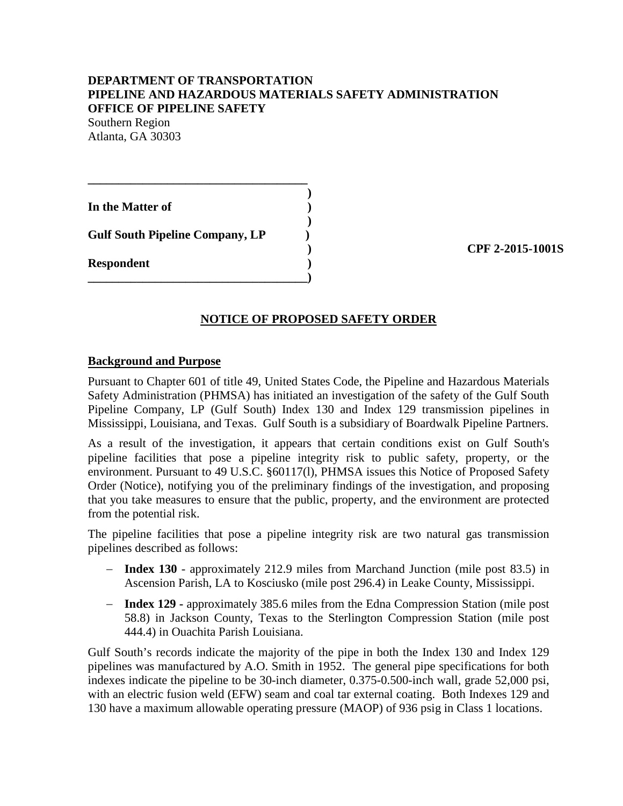## **DEPARTMENT OF TRANSPORTATION PIPELINE AND HAZARDOUS MATERIALS SAFETY ADMINISTRATION OFFICE OF PIPELINE SAFETY**

Southern Region Atlanta, GA 30303

| In the Matter of                       |  |
|----------------------------------------|--|
| <b>Gulf South Pipeline Company, LP</b> |  |
| <b>Respondent</b>                      |  |

**\_\_\_\_\_\_\_\_\_\_\_\_\_\_\_\_\_\_\_\_\_\_\_\_\_\_\_\_\_\_\_\_\_\_\_\_** 

 **) CPF 2-2015-1001S** 

## **NOTICE OF PROPOSED SAFETY ORDER**

#### **Background and Purpose**

Pursuant to Chapter 601 of title 49, United States Code, the Pipeline and Hazardous Materials Safety Administration (PHMSA) has initiated an investigation of the safety of the Gulf South Pipeline Company, LP (Gulf South) Index 130 and Index 129 transmission pipelines in Mississippi, Louisiana, and Texas. Gulf South is a subsidiary of Boardwalk Pipeline Partners.

As a result of the investigation, it appears that certain conditions exist on Gulf South's pipeline facilities that pose a pipeline integrity risk to public safety, property, or the environment. Pursuant to 49 U.S.C. §60117(l), PHMSA issues this Notice of Proposed Safety Order (Notice), notifying you of the preliminary findings of the investigation, and proposing that you take measures to ensure that the public, property, and the environment are protected from the potential risk.

The pipeline facilities that pose a pipeline integrity risk are two natural gas transmission pipelines described as follows:

- − **Index 130** approximately 212.9 miles from Marchand Junction (mile post 83.5) in Ascension Parish, LA to Kosciusko (mile post 296.4) in Leake County, Mississippi.
- − **Index 129 -** approximately 385.6 miles from the Edna Compression Station (mile post 58.8) in Jackson County, Texas to the Sterlington Compression Station (mile post 444.4) in Ouachita Parish Louisiana.

Gulf South's records indicate the majority of the pipe in both the Index 130 and Index 129 pipelines was manufactured by A.O. Smith in 1952. The general pipe specifications for both indexes indicate the pipeline to be 30-inch diameter, 0.375-0.500-inch wall, grade 52,000 psi, with an electric fusion weld (EFW) seam and coal tar external coating. Both Indexes 129 and 130 have a maximum allowable operating pressure (MAOP) of 936 psig in Class 1 locations.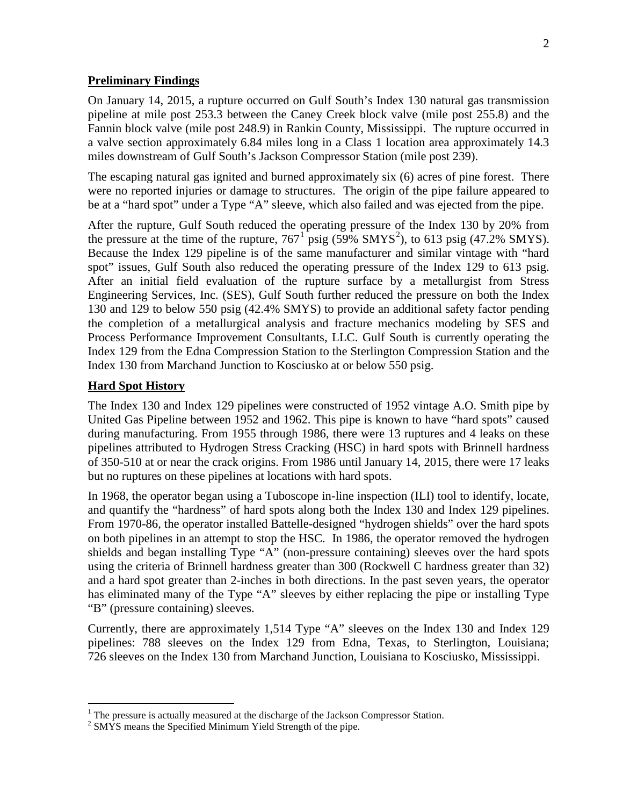#### **Preliminary Findings**

On January 14, 2015, a rupture occurred on Gulf South's Index 130 natural gas transmission pipeline at mile post 253.3 between the Caney Creek block valve (mile post 255.8) and the Fannin block valve (mile post 248.9) in Rankin County, Mississippi. The rupture occurred in a valve section approximately 6.84 miles long in a Class 1 location area approximately 14.3 miles downstream of Gulf South's Jackson Compressor Station (mile post 239).

The escaping natural gas ignited and burned approximately six (6) acres of pine forest. There were no reported injuries or damage to structures. The origin of the pipe failure appeared to be at a "hard spot" under a Type "A" sleeve, which also failed and was ejected from the pipe.

After the rupture, Gulf South reduced the operating pressure of the Index 130 by 20% from the pressure at the time of the rupture,  $767<sup>1</sup>$  psig (59% SMYS<sup>2</sup>), to 613 psig (47.2% SMYS). Because the Index 129 pipeline is of the same manufacturer and similar vintage with "hard spot" issues, Gulf South also reduced the operating pressure of the Index 129 to 613 psig. After an initial field evaluation of the rupture surface by a metallurgist from Stress Engineering Services, Inc. (SES), Gulf South further reduced the pressure on both the Index 130 and 129 to below 550 psig (42.4% SMYS) to provide an additional safety factor pending the completion of a metallurgical analysis and fracture mechanics modeling by SES and Process Performance Improvement Consultants, LLC. Gulf South is currently operating the Index 129 from the Edna Compression Station to the Sterlington Compression Station and the Index 130 from Marchand Junction to Kosciusko at or below 550 psig.

#### **Hard Spot History**

 $\overline{a}$ 

The Index 130 and Index 129 pipelines were constructed of 1952 vintage A.O. Smith pipe by United Gas Pipeline between 1952 and 1962. This pipe is known to have "hard spots" caused during manufacturing. From 1955 through 1986, there were 13 ruptures and 4 leaks on these pipelines attributed to Hydrogen Stress Cracking (HSC) in hard spots with Brinnell hardness of 350-510 at or near the crack origins. From 1986 until January 14, 2015, there were 17 leaks but no ruptures on these pipelines at locations with hard spots.

In 1968, the operator began using a Tuboscope in-line inspection (ILI) tool to identify, locate, and quantify the "hardness" of hard spots along both the Index 130 and Index 129 pipelines. From 1970-86, the operator installed Battelle-designed "hydrogen shields" over the hard spots on both pipelines in an attempt to stop the HSC. In 1986, the operator removed the hydrogen shields and began installing Type "A" (non-pressure containing) sleeves over the hard spots using the criteria of Brinnell hardness greater than 300 (Rockwell C hardness greater than 32) and a hard spot greater than 2-inches in both directions. In the past seven years, the operator has eliminated many of the Type "A" sleeves by either replacing the pipe or installing Type "B" (pressure containing) sleeves.

Currently, there are approximately 1,514 Type "A" sleeves on the Index 130 and Index 129 pipelines: 788 sleeves on the Index 129 from Edna, Texas, to Sterlington, Louisiana; 726 sleeves on the Index 130 from Marchand Junction, Louisiana to Kosciusko, Mississippi.

<sup>&</sup>lt;sup>1</sup> The pressure is actually measured at the discharge of the Jackson Compressor Station. <sup>2</sup> SMYS means the Specified Minimum Yield Strength of the pipe.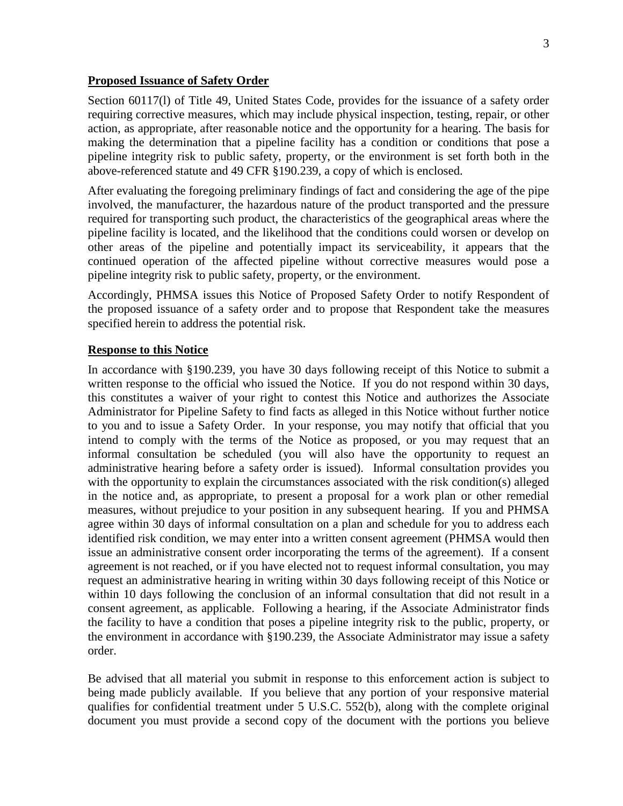#### **Proposed Issuance of Safety Order**

Section 60117(l) of Title 49, United States Code, provides for the issuance of a safety order requiring corrective measures, which may include physical inspection, testing, repair, or other action, as appropriate, after reasonable notice and the opportunity for a hearing. The basis for making the determination that a pipeline facility has a condition or conditions that pose a pipeline integrity risk to public safety, property, or the environment is set forth both in the above-referenced statute and 49 CFR §190.239, a copy of which is enclosed.

After evaluating the foregoing preliminary findings of fact and considering the age of the pipe involved, the manufacturer, the hazardous nature of the product transported and the pressure required for transporting such product, the characteristics of the geographical areas where the pipeline facility is located, and the likelihood that the conditions could worsen or develop on other areas of the pipeline and potentially impact its serviceability, it appears that the continued operation of the affected pipeline without corrective measures would pose a pipeline integrity risk to public safety, property, or the environment.

Accordingly, PHMSA issues this Notice of Proposed Safety Order to notify Respondent of the proposed issuance of a safety order and to propose that Respondent take the measures specified herein to address the potential risk.

## **Response to this Notice**

In accordance with §190.239, you have 30 days following receipt of this Notice to submit a written response to the official who issued the Notice. If you do not respond within 30 days, this constitutes a waiver of your right to contest this Notice and authorizes the Associate Administrator for Pipeline Safety to find facts as alleged in this Notice without further notice to you and to issue a Safety Order. In your response, you may notify that official that you intend to comply with the terms of the Notice as proposed, or you may request that an informal consultation be scheduled (you will also have the opportunity to request an administrative hearing before a safety order is issued). Informal consultation provides you with the opportunity to explain the circumstances associated with the risk condition(s) alleged in the notice and, as appropriate, to present a proposal for a work plan or other remedial measures, without prejudice to your position in any subsequent hearing. If you and PHMSA agree within 30 days of informal consultation on a plan and schedule for you to address each identified risk condition, we may enter into a written consent agreement (PHMSA would then issue an administrative consent order incorporating the terms of the agreement). If a consent agreement is not reached, or if you have elected not to request informal consultation, you may request an administrative hearing in writing within 30 days following receipt of this Notice or within 10 days following the conclusion of an informal consultation that did not result in a consent agreement, as applicable. Following a hearing, if the Associate Administrator finds the facility to have a condition that poses a pipeline integrity risk to the public, property, or the environment in accordance with §190.239, the Associate Administrator may issue a safety order.

Be advised that all material you submit in response to this enforcement action is subject to being made publicly available. If you believe that any portion of your responsive material qualifies for confidential treatment under 5 U.S.C. 552(b), along with the complete original document you must provide a second copy of the document with the portions you believe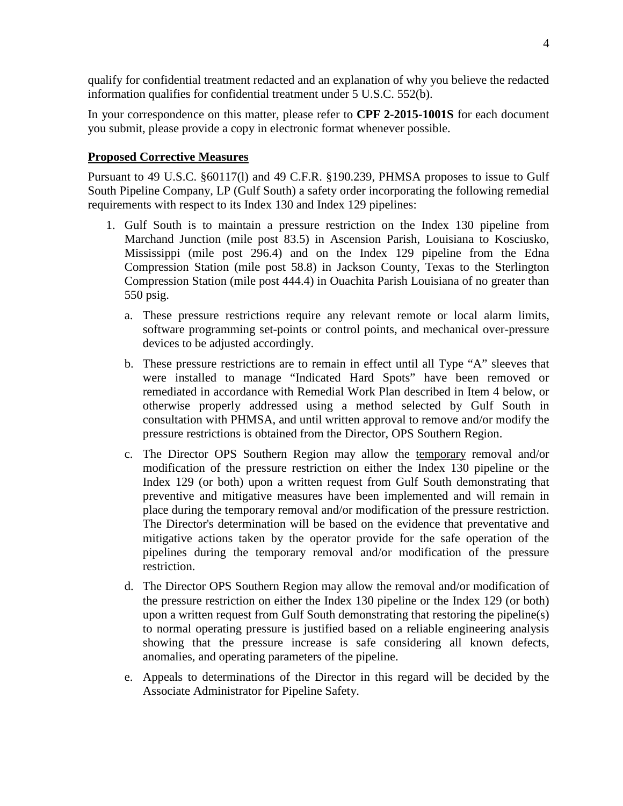qualify for confidential treatment redacted and an explanation of why you believe the redacted information qualifies for confidential treatment under 5 U.S.C. 552(b).

In your correspondence on this matter, please refer to **CPF 2-2015-1001S** for each document you submit, please provide a copy in electronic format whenever possible.

## **Proposed Corrective Measures**

Pursuant to 49 U.S.C. §60117(l) and 49 C.F.R. §190.239, PHMSA proposes to issue to Gulf South Pipeline Company, LP (Gulf South) a safety order incorporating the following remedial requirements with respect to its Index 130 and Index 129 pipelines:

- 1. Gulf South is to maintain a pressure restriction on the Index 130 pipeline from Marchand Junction (mile post 83.5) in Ascension Parish, Louisiana to Kosciusko, Mississippi (mile post 296.4) and on the Index 129 pipeline from the Edna Compression Station (mile post 58.8) in Jackson County, Texas to the Sterlington Compression Station (mile post 444.4) in Ouachita Parish Louisiana of no greater than 550 psig.
	- a. These pressure restrictions require any relevant remote or local alarm limits, software programming set-points or control points, and mechanical over-pressure devices to be adjusted accordingly.
	- b. These pressure restrictions are to remain in effect until all Type "A" sleeves that were installed to manage "Indicated Hard Spots" have been removed or remediated in accordance with Remedial Work Plan described in Item 4 below, or otherwise properly addressed using a method selected by Gulf South in consultation with PHMSA, and until written approval to remove and/or modify the pressure restrictions is obtained from the Director, OPS Southern Region.
	- c. The Director OPS Southern Region may allow the temporary removal and/or modification of the pressure restriction on either the Index 130 pipeline or the Index 129 (or both) upon a written request from Gulf South demonstrating that preventive and mitigative measures have been implemented and will remain in place during the temporary removal and/or modification of the pressure restriction. The Director's determination will be based on the evidence that preventative and mitigative actions taken by the operator provide for the safe operation of the pipelines during the temporary removal and/or modification of the pressure restriction.
	- d. The Director OPS Southern Region may allow the removal and/or modification of the pressure restriction on either the Index 130 pipeline or the Index 129 (or both) upon a written request from Gulf South demonstrating that restoring the pipeline(s) to normal operating pressure is justified based on a reliable engineering analysis showing that the pressure increase is safe considering all known defects, anomalies, and operating parameters of the pipeline.
	- e. Appeals to determinations of the Director in this regard will be decided by the Associate Administrator for Pipeline Safety.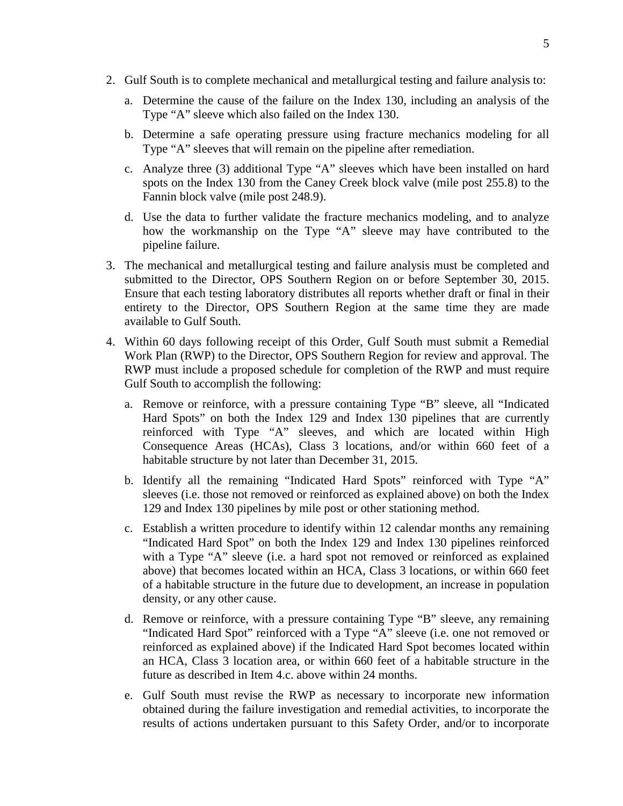- 2. Gulf South is to complete mechanical and metallurgical testing and failure analysis to:
	- a. Determine the cause of the failure on the Index 130, including an analysis of the Type "A" sleeve which also failed on the Index 130.
	- b. Determine a safe operating pressure using fracture mechanics modeling for all Type "A" sleeves that will remain on the pipeline after remediation.
	- c. Analyze three (3) additional Type "A" sleeves which have been installed on hard spots on the Index 130 from the Caney Creek block valve (mile post 255.8) to the Fannin block valve (mile post 248.9).
	- d. Use the data to further validate the fracture mechanics modeling, and to analyze how the workmanship on the Type "A" sleeve may have contributed to the pipeline failure.
- 3. The mechanical and metallurgical testing and failure analysis must be completed and submitted to the Director, OPS Southern Region on or before September 30, 2015. Ensure that each testing laboratory distributes all reports whether draft or final in their entirety to the Director, OPS Southern Region at the same time they are made available to Gulf South.
- 4. Within 60 days following receipt of this Order, Gulf South must submit a Remedial Work Plan (RWP) to the Director, OPS Southern Region for review and approval. The RWP must include a proposed schedule for completion of the RWP and must require Gulf South to accomplish the following:
	- a. Remove or reinforce, with a pressure containing Type "B" sleeve, all "Indicated Hard Spots" on both the Index 129 and Index 130 pipelines that are currently reinforced with Type "A" sleeves, and which are located within High Consequence Areas (HCAs), Class 3 locations, and/or within 660 feet of a habitable structure by not later than December 31, 2015.
	- b. Identify all the remaining "Indicated Hard Spots" reinforced with Type "A" sleeves (i.e. those not removed or reinforced as explained above) on both the Index 129 and Index 130 pipelines by mile post or other stationing method.
	- c. Establish a written procedure to identify within 12 calendar months any remaining "Indicated Hard Spot" on both the Index 129 and Index 130 pipelines reinforced with a Type "A" sleeve (i.e. a hard spot not removed or reinforced as explained above) that becomes located within an HCA, Class 3 locations, or within 660 feet of a habitable structure in the future due to development, an increase in population density, or any other cause.
	- d. Remove or reinforce, with a pressure containing Type "B" sleeve, any remaining "Indicated Hard Spot" reinforced with a Type "A" sleeve (i.e. one not removed or reinforced as explained above) if the Indicated Hard Spot becomes located within an HCA, Class 3 location area, or within 660 feet of a habitable structure in the future as described in Item 4.c. above within 24 months.
	- e. Gulf South must revise the RWP as necessary to incorporate new information obtained during the failure investigation and remedial activities, to incorporate the results of actions undertaken pursuant to this Safety Order, and/or to incorporate